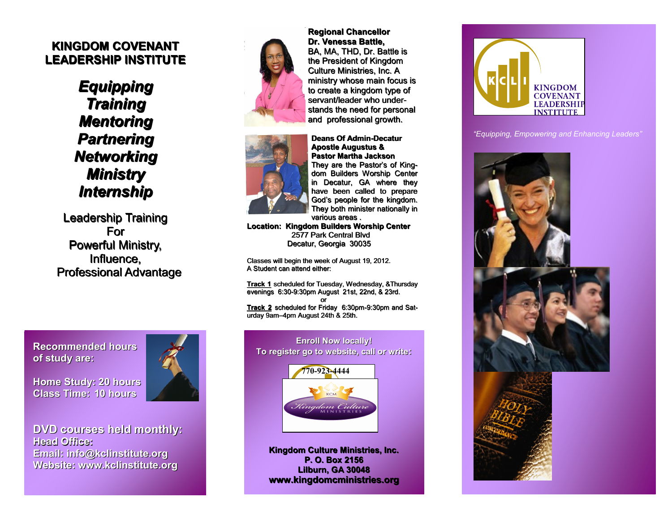#### **KINGDOM COVENANT LEADERSHIP INSTITUTE**

*Equipping Training Mentoring Partnering Networking Ministry Internship*

Leadership Training For Powerful Ministry, Influence, Professional Advantage

**Recommended hours of study are:**

**Home Study: 20 hours Class Time: 10 hours**



**DVD courses held monthly: Head Office: Email: info@kclinstitute.org Website: www.kclinstitute.org**



**Regional Chancellor Dr. Venessa Battle,** BA, MA, THD, Dr. Battle is the President of Kingdom Culture Ministries, Inc. A ministry whose main focus is to create a kingdom type of servant/leader who understands the need for personal and professional growth.



**Deans Of Admin-Decatur Apostle Augustus & Pastor Martha Jackson** They are the Pastor's of Kingdom Builders Worship Center in Decatur, GA where they have been called to prepare God's people for the kingdom. They both minister nationally in various areas .

**Location: Kingdom Builders Worship Center** 2577 Park Central Blvd Decatur, Georgia 30035

Classes will begin the week of August 19, 2012. A Student can attend either:

**Track 1** scheduled for Tuesday, Wednesday, &Thursday evenings 6:30-9:30pm August 21st, 22nd, & 23rd.

**or** *contract to the contract of the state* **Track 2** scheduled for Friday 6:30pm-9:30pm and Saturday 9am–4pm August 24th & 25th.



**Kingdom Culture Ministries, Inc. P. O. Box 2156 Lilburn, GA 30048 www.kingdomcministries.org**



*"Equipping, Empowering and Enhancing Leaders"*